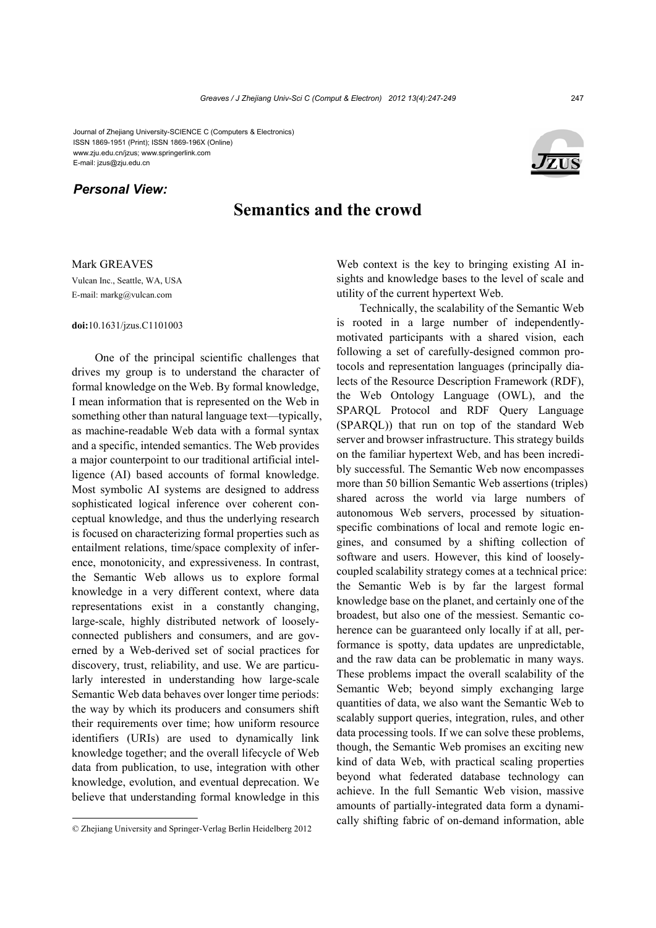Journal of Zhejiang University-SCIENCE C (Computers & Electronics) ISSN 1869-1951 (Print); ISSN 1869-196X (Online) www.zju.edu.cn/jzus; www.springerlink.com E-mail: jzus@zju.edu.cn

## *Personal View:*

## **Semantics and the crowd**

Mark GREAVES Vulcan Inc., Seattle, WA, USA E-mail: markg@vulcan.com

**doi:**10.1631/jzus.C1101003

One of the principal scientific challenges that drives my group is to understand the character of formal knowledge on the Web. By formal knowledge, I mean information that is represented on the Web in something other than natural language text—typically, as machine-readable Web data with a formal syntax and a specific, intended semantics. The Web provides a major counterpoint to our traditional artificial intelligence (AI) based accounts of formal knowledge. Most symbolic AI systems are designed to address sophisticated logical inference over coherent conceptual knowledge, and thus the underlying research is focused on characterizing formal properties such as entailment relations, time/space complexity of inference, monotonicity, and expressiveness. In contrast, the Semantic Web allows us to explore formal knowledge in a very different context, where data representations exist in a constantly changing, large-scale, highly distributed network of looselyconnected publishers and consumers, and are governed by a Web-derived set of social practices for discovery, trust, reliability, and use. We are particularly interested in understanding how large-scale Semantic Web data behaves over longer time periods: the way by which its producers and consumers shift their requirements over time; how uniform resource identifiers (URIs) are used to dynamically link knowledge together; and the overall lifecycle of Web data from publication, to use, integration with other knowledge, evolution, and eventual deprecation. We believe that understanding formal knowledge in this

Web context is the key to bringing existing AI insights and knowledge bases to the level of scale and utility of the current hypertext Web.

Technically, the scalability of the Semantic Web is rooted in a large number of independentlymotivated participants with a shared vision, each following a set of carefully-designed common protocols and representation languages (principally dialects of the Resource Description Framework (RDF), the Web Ontology Language (OWL), and the SPARQL Protocol and RDF Query Language (SPARQL)) that run on top of the standard Web server and browser infrastructure. This strategy builds on the familiar hypertext Web, and has been incredibly successful. The Semantic Web now encompasses more than 50 billion Semantic Web assertions (triples) shared across the world via large numbers of autonomous Web servers, processed by situationspecific combinations of local and remote logic engines, and consumed by a shifting collection of software and users. However, this kind of looselycoupled scalability strategy comes at a technical price: the Semantic Web is by far the largest formal knowledge base on the planet, and certainly one of the broadest, but also one of the messiest. Semantic coherence can be guaranteed only locally if at all, performance is spotty, data updates are unpredictable, and the raw data can be problematic in many ways. These problems impact the overall scalability of the Semantic Web; beyond simply exchanging large quantities of data, we also want the Semantic Web to scalably support queries, integration, rules, and other data processing tools. If we can solve these problems, though, the Semantic Web promises an exciting new kind of data Web, with practical scaling properties beyond what federated database technology can achieve. In the full Semantic Web vision, massive amounts of partially-integrated data form a dynamically shifting fabric of on-demand information, able

<sup>©</sup> Zhejiang University and Springer-Verlag Berlin Heidelberg 2012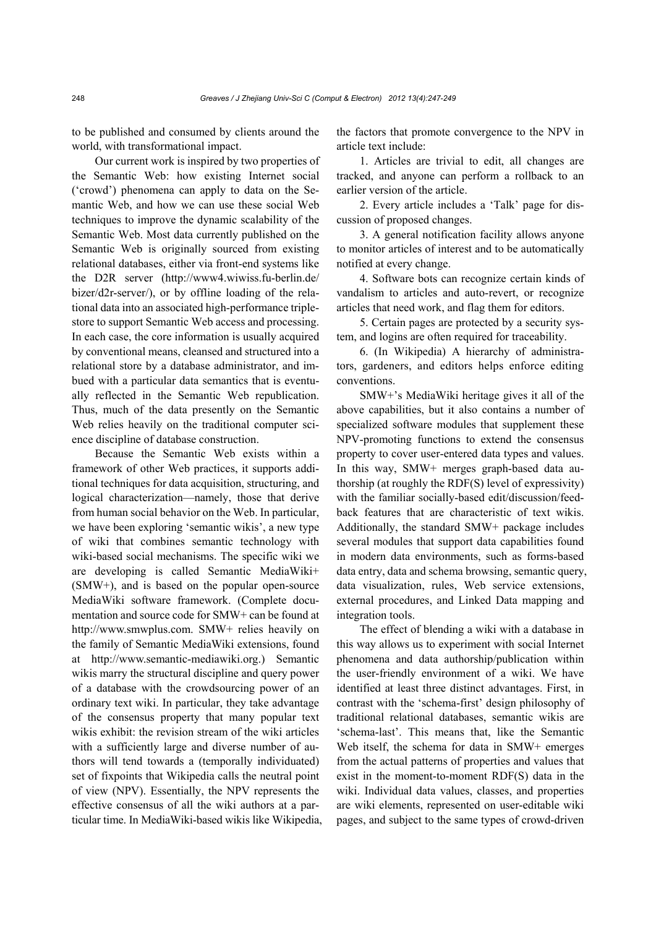to be published and consumed by clients around the world, with transformational impact.

Our current work is inspired by two properties of the Semantic Web: how existing Internet social ('crowd') phenomena can apply to data on the Semantic Web, and how we can use these social Web techniques to improve the dynamic scalability of the Semantic Web. Most data currently published on the Semantic Web is originally sourced from existing relational databases, either via front-end systems like the D2R server (http://www4.wiwiss.fu-berlin.de/ bizer/d2r-server/), or by offline loading of the relational data into an associated high-performance triplestore to support Semantic Web access and processing. In each case, the core information is usually acquired by conventional means, cleansed and structured into a relational store by a database administrator, and imbued with a particular data semantics that is eventually reflected in the Semantic Web republication. Thus, much of the data presently on the Semantic Web relies heavily on the traditional computer science discipline of database construction.

Because the Semantic Web exists within a framework of other Web practices, it supports additional techniques for data acquisition, structuring, and logical characterization—namely, those that derive from human social behavior on the Web. In particular, we have been exploring 'semantic wikis', a new type of wiki that combines semantic technology with wiki-based social mechanisms. The specific wiki we are developing is called Semantic MediaWiki+ (SMW+), and is based on the popular open-source MediaWiki software framework. (Complete documentation and source code for SMW+ can be found at http://www.smwplus.com. SMW+ relies heavily on the family of Semantic MediaWiki extensions, found at http://www.semantic-mediawiki.org.) Semantic wikis marry the structural discipline and query power of a database with the crowdsourcing power of an ordinary text wiki. In particular, they take advantage of the consensus property that many popular text wikis exhibit: the revision stream of the wiki articles with a sufficiently large and diverse number of authors will tend towards a (temporally individuated) set of fixpoints that Wikipedia calls the neutral point of view (NPV). Essentially, the NPV represents the effective consensus of all the wiki authors at a particular time. In MediaWiki-based wikis like Wikipedia, the factors that promote convergence to the NPV in article text include:

1. Articles are trivial to edit, all changes are tracked, and anyone can perform a rollback to an earlier version of the article.

2. Every article includes a 'Talk' page for discussion of proposed changes.

3. A general notification facility allows anyone to monitor articles of interest and to be automatically notified at every change.

4. Software bots can recognize certain kinds of vandalism to articles and auto-revert, or recognize articles that need work, and flag them for editors.

5. Certain pages are protected by a security system, and logins are often required for traceability.

6. (In Wikipedia) A hierarchy of administrators, gardeners, and editors helps enforce editing conventions.

SMW+'s MediaWiki heritage gives it all of the above capabilities, but it also contains a number of specialized software modules that supplement these NPV-promoting functions to extend the consensus property to cover user-entered data types and values. In this way, SMW+ merges graph-based data authorship (at roughly the RDF(S) level of expressivity) with the familiar socially-based edit/discussion/feedback features that are characteristic of text wikis. Additionally, the standard SMW+ package includes several modules that support data capabilities found in modern data environments, such as forms-based data entry, data and schema browsing, semantic query, data visualization, rules, Web service extensions, external procedures, and Linked Data mapping and integration tools.

The effect of blending a wiki with a database in this way allows us to experiment with social Internet phenomena and data authorship/publication within the user-friendly environment of a wiki. We have identified at least three distinct advantages. First, in contrast with the 'schema-first' design philosophy of traditional relational databases, semantic wikis are 'schema-last'. This means that, like the Semantic Web itself, the schema for data in SMW+ emerges from the actual patterns of properties and values that exist in the moment-to-moment RDF(S) data in the wiki. Individual data values, classes, and properties are wiki elements, represented on user-editable wiki pages, and subject to the same types of crowd-driven